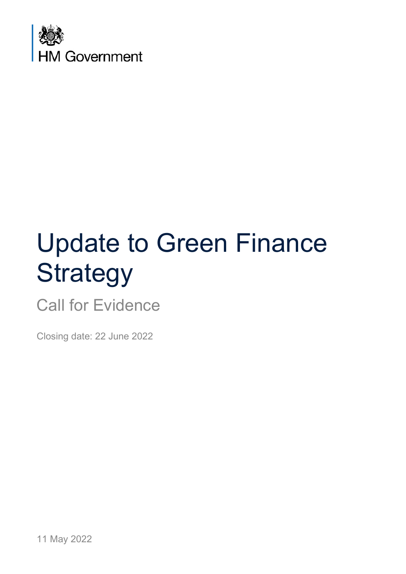

# Update to Green Finance **Strategy**

Call for Evidence

Closing date: 22 June 2022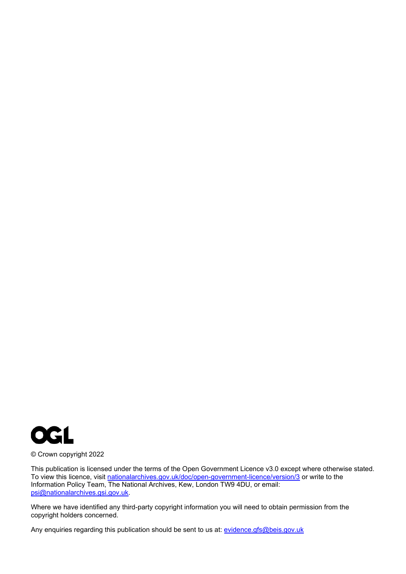

© Crown copyright 2022

This publication is licensed under the terms of the Open Government Licence v3.0 except where otherwise stated. To view this licence, visit [nationalarchives.gov.uk/doc/open-government-licence/version/3](http://nationalarchives.gov.uk/doc/open-government-licence/version/3/) or write to the Information Policy Team, The National Archives, Kew, London TW9 4DU, or email: [psi@nationalarchives.gsi.gov.uk.](mailto:psi@nationalarchives.gsi.gov.uk)

Where we have identified any third-party copyright information you will need to obtain permission from the copyright holders concerned.

Any enquiries regarding this publication should be sent to us at: [evidence.gfs@beis.gov.uk](mailto:evidence.gfs@beis.gov.uk)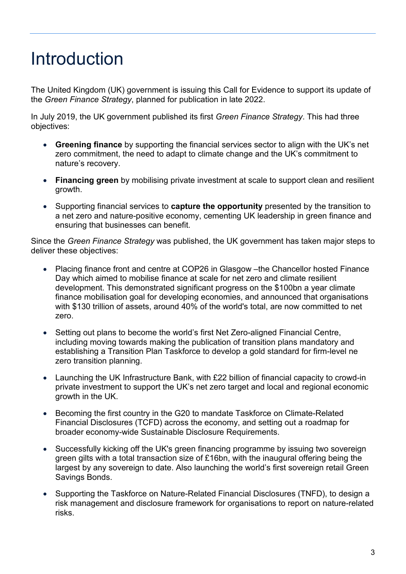## <span id="page-2-0"></span>Introduction

The United Kingdom (UK) government is issuing this Call for Evidence to support its update of the *Green Finance Strategy*, planned for publication in late 2022.

In July 2019, the UK government published its first *Green Finance Strategy*. This had three objectives:

- **Greening finance** by supporting the financial services sector to align with the UK's net zero commitment, the need to adapt to climate change and the UK's commitment to nature's recovery.
- **Financing green** by mobilising private investment at scale to support clean and resilient growth.
- Supporting financial services to **capture the opportunity** presented by the transition to a net zero and nature-positive economy, cementing UK leadership in green finance and ensuring that businesses can benefit.

Since the *Green Finance Strategy* was published, the UK government has taken major steps to deliver these objectives:

- Placing finance front and centre at COP26 in Glasgow the Chancellor hosted Finance Day which aimed to mobilise finance at scale for net zero and climate resilient development. This demonstrated significant progress on the \$100bn a year climate finance mobilisation goal for developing economies, and announced that organisations with \$130 trillion of assets, around 40% of the world's total, are now committed to net zero.
- Setting out plans to become the world's first Net Zero-aligned Financial Centre, including moving towards making the publication of transition plans mandatory and establishing a Transition Plan Taskforce to develop a gold standard for firm-level ne zero transition planning.
- Launching the UK Infrastructure Bank, with £22 billion of financial capacity to crowd-in private investment to support the UK's net zero target and local and regional economic growth in the UK.
- Becoming the first country in the G20 to mandate Taskforce on Climate-Related Financial Disclosures (TCFD) across the economy, and setting out a roadmap for broader economy-wide Sustainable Disclosure Requirements.
- Successfully kicking off the UK's green financing programme by issuing two sovereign green gilts with a total transaction size of £16bn, with the inaugural offering being the largest by any sovereign to date. Also launching the world's first sovereign retail Green Savings Bonds.
- Supporting the Taskforce on Nature-Related Financial Disclosures (TNFD), to design a risk management and disclosure framework for organisations to report on nature-related risks.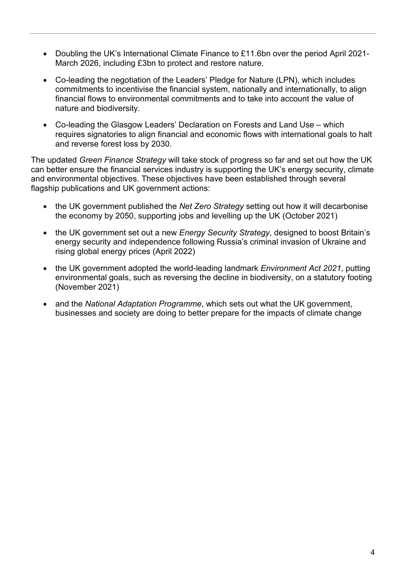- Doubling the UK's International Climate Finance to £11.6bn over the period April 2021- March 2026, including £3bn to protect and restore nature.
- Co-leading the negotiation of the Leaders' Pledge for Nature (LPN), which includes commitments to incentivise the financial system, nationally and internationally, to align financial flows to environmental commitments and to take into account the value of nature and biodiversity.
- Co-leading the Glasgow Leaders' Declaration on Forests and Land Use which requires signatories to align financial and economic flows with international goals to halt and reverse forest loss by 2030.

The updated *Green Finance Strategy* will take stock of progress so far and set out how the UK can better ensure the financial services industry is supporting the UK's energy security, climate and environmental objectives. These objectives have been established through several flagship publications and UK government actions:

- the UK government published the *Net Zero Strategy* setting out how it will decarbonise the economy by 2050, supporting jobs and levelling up the UK (October 2021)
- the UK government set out a new *Energy Security Strategy*, designed to boost Britain's energy security and independence following Russia's criminal invasion of Ukraine and rising global energy prices (April 2022)
- the UK government adopted the world-leading landmark *Environment Act 2021*, putting environmental goals, such as reversing the decline in biodiversity, on a statutory footing (November 2021)
- and the *National Adaptation Programme*, which sets out what the UK government, businesses and society are doing to better prepare for the impacts of climate change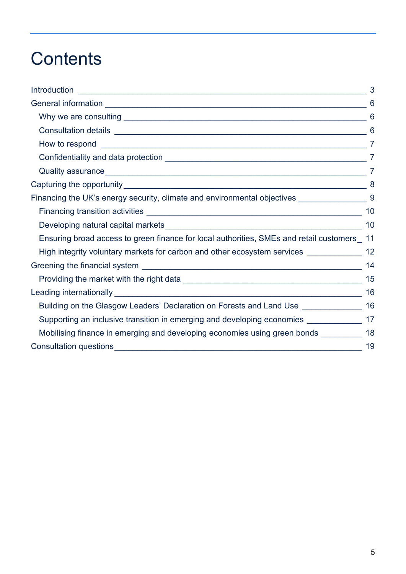## **Contents**

|                                                                                              | 3              |
|----------------------------------------------------------------------------------------------|----------------|
|                                                                                              | 6              |
|                                                                                              | 6              |
|                                                                                              | 6              |
|                                                                                              | $\overline{7}$ |
|                                                                                              | 7              |
|                                                                                              |                |
|                                                                                              | 8              |
| Financing the UK's energy security, climate and environmental objectives __________________9 |                |
|                                                                                              | 10             |
|                                                                                              |                |
| Ensuring broad access to green finance for local authorities, SMEs and retail customers 11   |                |
| High integrity voluntary markets for carbon and other ecosystem services ______________ 12   |                |
|                                                                                              | 14             |
|                                                                                              | 15             |
|                                                                                              | 16             |
| Building on the Glasgow Leaders' Declaration on Forests and Land Use _______________ 16      |                |
| Supporting an inclusive transition in emerging and developing economies ______________ 17    |                |
| Mobilising finance in emerging and developing economies using green bonds __________ 18      |                |
|                                                                                              | 19             |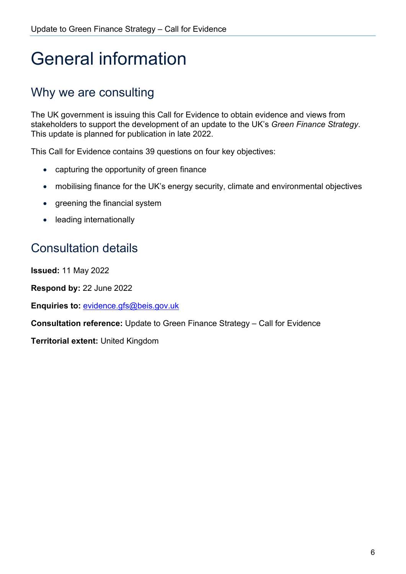## <span id="page-5-0"></span>General information

## <span id="page-5-1"></span>Why we are consulting

The UK government is issuing this Call for Evidence to obtain evidence and views from stakeholders to support the development of an update to the UK's *Green Finance Strategy*. This update is planned for publication in late 2022.

This Call for Evidence contains 39 questions on four key objectives:

- capturing the opportunity of green finance
- mobilising finance for the UK's energy security, climate and environmental objectives
- greening the financial system
- leading internationally

## <span id="page-5-2"></span>Consultation details

**Issued:** 11 May 2022

**Respond by:** 22 June 2022

**Enquiries to:** [evidence.gfs@beis.gov.uk](mailto:evidence.gfs@beis.gov.uk)

**Consultation reference:** Update to Green Finance Strategy – Call for Evidence

**Territorial extent:** United Kingdom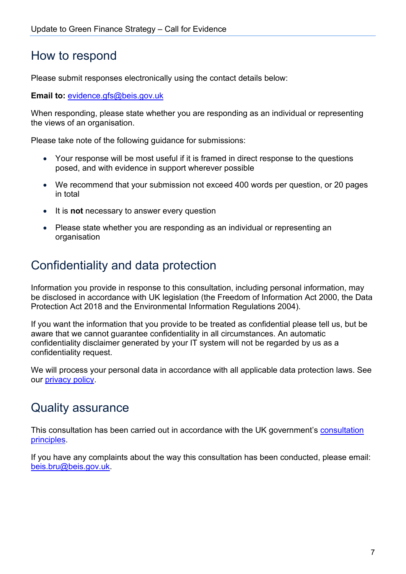### <span id="page-6-0"></span>How to respond

Please submit responses electronically using the contact details below:

**Email to:** [evidence.gfs@beis.gov.uk](mailto:evidence.gfs@beis.gov.uk)

When responding, please state whether you are responding as an individual or representing the views of an organisation.

Please take note of the following guidance for submissions:

- Your response will be most useful if it is framed in direct response to the questions posed, and with evidence in support wherever possible
- We recommend that your submission not exceed 400 words per question, or 20 pages in total
- It is **not** necessary to answer every question
- Please state whether you are responding as an individual or representing an organisation

## <span id="page-6-1"></span>Confidentiality and data protection

Information you provide in response to this consultation, including personal information, may be disclosed in accordance with UK legislation (the Freedom of Information Act 2000, the Data Protection Act 2018 and the Environmental Information Regulations 2004).

If you want the information that you provide to be treated as confidential please tell us, but be aware that we cannot guarantee confidentiality in all circumstances. An automatic confidentiality disclaimer generated by your IT system will not be regarded by us as a confidentiality request.

We will process your personal data in accordance with all applicable data protection laws. See our [privacy policy.](https://www.gov.uk/government/organisations/department-for-business-energy-and-industrial-strategy/about/personal-information-charter)

### <span id="page-6-2"></span>Quality assurance

This consultation has been carried out in accordance with the UK government's [consultation](https://www.gov.uk/government/publications/consultation-principles-guidance)  [principles.](https://www.gov.uk/government/publications/consultation-principles-guidance)

If you have any complaints about the way this consultation has been conducted, please email: [beis.bru@beis.gov.uk.](mailto:beis.bru@beis.gov.uk)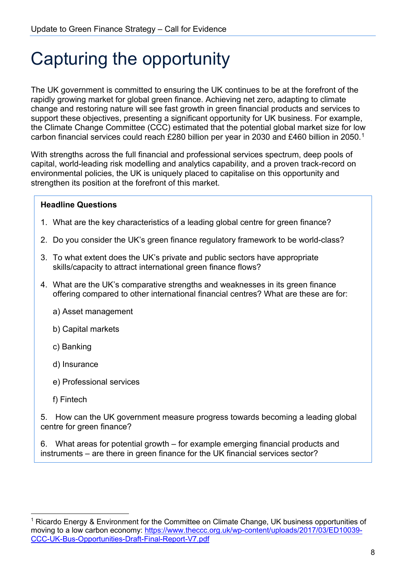## <span id="page-7-0"></span>Capturing the opportunity

The UK government is committed to ensuring the UK continues to be at the forefront of the rapidly growing market for global green finance. Achieving net zero, adapting to climate change and restoring nature will see fast growth in green financial products and services to support these objectives, presenting a significant opportunity for UK business. For example, the Climate Change Committee (CCC) estimated that the potential global market size for low carbon financial services could reach £280 billion per year in 2030 and £460 billion in 2050.[1](#page-7-1)

With strengths across the full financial and professional services spectrum, deep pools of capital, world-leading risk modelling and analytics capability, and a proven track-record on environmental policies, the UK is uniquely placed to capitalise on this opportunity and strengthen its position at the forefront of this market.

### **Headline Questions**

- 1. What are the key characteristics of a leading global centre for green finance?
- 2. Do you consider the UK's green finance regulatory framework to be world-class?
- 3. To what extent does the UK's private and public sectors have appropriate skills/capacity to attract international green finance flows?
- 4. What are the UK's comparative strengths and weaknesses in its green finance offering compared to other international financial centres? What are these are for:
	- a) Asset management
	- b) Capital markets
	- c) Banking
	- d) Insurance
	- e) Professional services
	- f) Fintech

5. How can the UK government measure progress towards becoming a leading global centre for green finance?

6. What areas for potential growth – for example emerging financial products and instruments – are there in green finance for the UK financial services sector?

<span id="page-7-1"></span><sup>&</sup>lt;sup>1</sup> Ricardo Energy & Environment for the Committee on Climate Change, UK business opportunities of moving to a low carbon economy: [https://www.theccc.org.uk/wp-content/uploads/2017/03/ED10039-](https://www.theccc.org.uk/wp-content/uploads/2017/03/ED10039-CCC-UK-Bus-Opportunities-Draft-Final-Report-V7.pdf) [CCC-UK-Bus-Opportunities-Draft-Final-Report-V7.pdf](https://www.theccc.org.uk/wp-content/uploads/2017/03/ED10039-CCC-UK-Bus-Opportunities-Draft-Final-Report-V7.pdf)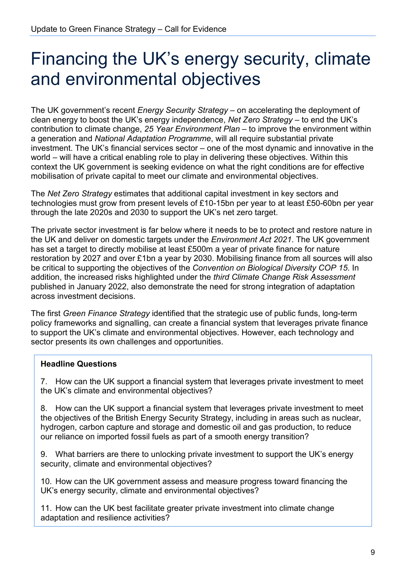## <span id="page-8-0"></span>Financing the UK's energy security, climate and environmental objectives

The UK government's recent *Energy Security Strategy* – on accelerating the deployment of clean energy to boost the UK's energy independence, *Net Zero Strategy* – to end the UK's contribution to climate change, *25 Year Environment Plan* – to improve the environment within a generation and *National Adaptation Programme*, will all require substantial private investment. The UK's financial services sector – one of the most dynamic and innovative in the world – will have a critical enabling role to play in delivering these objectives. Within this context the UK government is seeking evidence on what the right conditions are for effective mobilisation of private capital to meet our climate and environmental objectives.

The *Net Zero Strategy* estimates that additional capital investment in key sectors and technologies must grow from present levels of £10-15bn per year to at least £50-60bn per year through the late 2020s and 2030 to support the UK's net zero target.

The private sector investment is far below where it needs to be to protect and restore nature in the UK and deliver on domestic targets under the *Environment Act 2021*. The UK government has set a target to directly mobilise at least £500m a year of private finance for nature restoration by 2027 and over £1bn a year by 2030. Mobilising finance from all sources will also be critical to supporting the objectives of the *Convention on Biological Diversity COP 15*. In addition, the increased risks highlighted under the *third Climate Change Risk Assessment* published in January 2022, also demonstrate the need for strong integration of adaptation across investment decisions.

The first *Green Finance Strategy* identified that the strategic use of public funds, long-term policy frameworks and signalling, can create a financial system that leverages private finance to support the UK's climate and environmental objectives. However, each technology and sector presents its own challenges and opportunities.

#### **Headline Questions**

7. How can the UK support a financial system that leverages private investment to meet the UK's climate and environmental objectives?

8. How can the UK support a financial system that leverages private investment to meet the objectives of the British Energy Security Strategy, including in areas such as nuclear, hydrogen, carbon capture and storage and domestic oil and gas production, to reduce our reliance on imported fossil fuels as part of a smooth energy transition?

9. What barriers are there to unlocking private investment to support the UK's energy security, climate and environmental objectives?

10. How can the UK government assess and measure progress toward financing the UK's energy security, climate and environmental objectives?

11. How can the UK best facilitate greater private investment into climate change adaptation and resilience activities?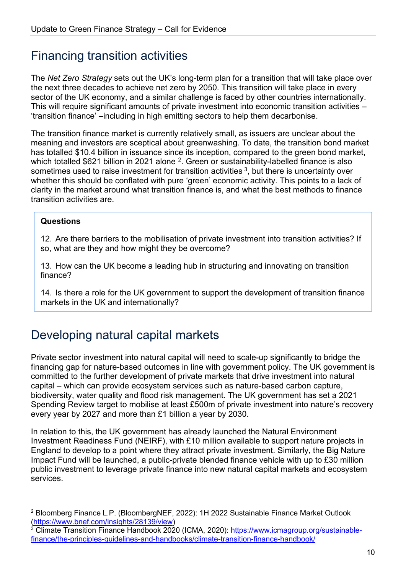### <span id="page-9-0"></span>Financing transition activities

The *Net Zero Strategy* sets out the UK's long-term plan for a transition that will take place over the next three decades to achieve net zero by 2050. This transition will take place in every sector of the UK economy, and a similar challenge is faced by other countries internationally. This will require significant amounts of private investment into economic transition activities – 'transition finance' –including in high emitting sectors to help them decarbonise.

The transition finance market is currently relatively small, as issuers are unclear about the meaning and investors are sceptical about greenwashing. To date, the transition bond market has totalled \$10.4 billion in issuance since its inception, compared to the green bond market, which totalled \$621 billion in 2021 alone <sup>2</sup>. Green or sustainability-labelled finance is also sometimes used to raise investment for transition activities  $3$ , but there is uncertainty over whether this should be conflated with pure 'green' economic activity. This points to a lack of clarity in the market around what transition finance is, and what the best methods to finance transition activities are.

### **Questions**

12. Are there barriers to the mobilisation of private investment into transition activities? If so, what are they and how might they be overcome?

13. How can the UK become a leading hub in structuring and innovating on transition finance?

14. Is there a role for the UK government to support the development of transition finance markets in the UK and internationally?

## <span id="page-9-1"></span>Developing natural capital markets

Private sector investment into natural capital will need to scale-up significantly to bridge the financing gap for nature-based outcomes in line with government policy. The UK government is committed to the further development of private markets that drive investment into natural capital – which can provide ecosystem services such as nature-based carbon capture, biodiversity, water quality and flood risk management. The UK government has set a 2021 Spending Review target to mobilise at least £500m of private investment into nature's recovery every year by 2027 and more than £1 billion a year by 2030.

In relation to this, the UK government has already launched the Natural Environment Investment Readiness Fund (NEIRF), with £10 million available to support nature projects in England to develop to a point where they attract private investment. Similarly, the Big Nature Impact Fund will be launched, a public-private blended finance vehicle with up to £30 million public investment to leverage private finance into new natural capital markets and ecosystem services.

<span id="page-9-2"></span><sup>2</sup> Bloomberg Finance L.P. (BloombergNEF, 2022): 1H 2022 Sustainable Finance Market Outlook [\(https://www.bnef.com/insights/28139/view\)](https://www.bnef.com/insights/28139/view)

<span id="page-9-3"></span><sup>3</sup> Climate Transition Finance Handbook 2020 (ICMA, 2020): [https://www.icmagroup.org/sustainable](https://www.icmagroup.org/sustainable-finance/the-principles-guidelines-and-handbooks/climate-transition-finance-handbook/)[finance/the-principles-guidelines-and-handbooks/climate-transition-finance-handbook/](https://www.icmagroup.org/sustainable-finance/the-principles-guidelines-and-handbooks/climate-transition-finance-handbook/)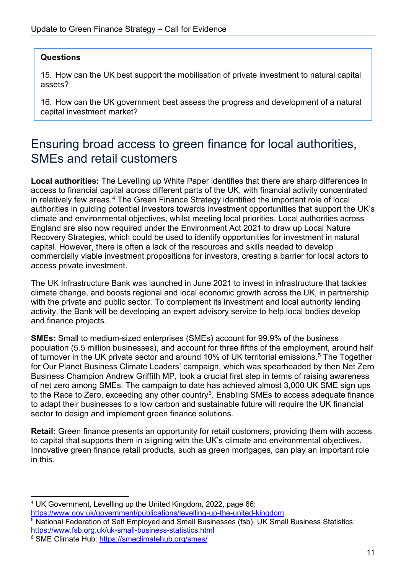#### **Questions**

15. How can the UK best support the mobilisation of private investment to natural capital assets?

16. How can the UK government best assess the progress and development of a natural capital investment market?

### <span id="page-10-0"></span>Ensuring broad access to green finance for local authorities, SMEs and retail customers

**Local authorities:** The Levelling up White Paper identifies that there are sharp differences in access to financial capital across different parts of the UK, with financial activity concentrated in relatively few areas.<sup>[4](#page-10-1)</sup> The Green Finance Strategy identified the important role of local authorities in guiding potential investors towards investment opportunities that support the UK's climate and environmental objectives, whilst meeting local priorities. Local authorities across England are also now required under the Environment Act 2021 to draw up Local Nature Recovery Strategies, which could be used to identify opportunities for investment in natural capital. However, there is often a lack of the resources and skills needed to develop commercially viable investment propositions for investors, creating a barrier for local actors to access private investment.

The UK Infrastructure Bank was launched in June 2021 to invest in infrastructure that tackles climate change, and boosts regional and local economic growth across the UK, in partnership with the private and public sector. To complement its investment and local authority lending activity, the Bank will be developing an expert advisory service to help local bodies develop and finance projects.

**SMEs:** Small to medium-sized enterprises (SMEs) account for 99.9% of the business population (5.5 million businesses), and account for three fifths of the employment, around half of turnover in the UK private sector and around 10% of UK territorial emissions.<sup>[5](#page-10-2)</sup> The Together for Our Planet Business Climate Leaders' campaign, which was spearheaded by then Net Zero Business Champion Andrew Griffith MP, took a crucial first step in terms of raising awareness of net zero among SMEs. The campaign to date has achieved almost 3,000 UK SME sign ups to the Race to Zero, exceeding any other country<sup>[6](#page-10-3)</sup>. Enabling SMEs to access adequate finance to adapt their businesses to a low carbon and sustainable future will require the UK financial sector to design and implement green finance solutions.

**Retail:** Green finance presents an opportunity for retail customers, providing them with access to capital that supports them in aligning with the UK's climate and environmental objectives. Innovative green finance retail products, such as green mortgages, can play an important role in this.

<span id="page-10-2"></span> $\overline{5}$  National Federation of Self Employed and Small Businesses (fsb), UK Small Business Statistics:<br>https://www.fsb.org.uk/uk-small-business-statistics.html

<span id="page-10-1"></span><sup>&</sup>lt;sup>4</sup> UK Government, Levelling up the United Kingdom, 2022, page 66:<br>https://www.gov.uk/government/publications/levelling-up-the-united-kingdom

<span id="page-10-3"></span> $6$  SME Climate Hub:<https://smeclimatehub.org/smes/>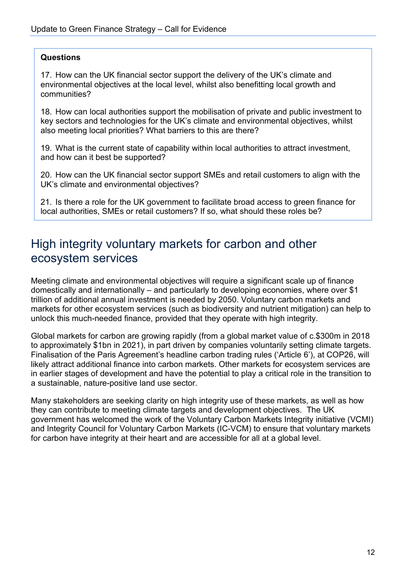#### **Questions**

17. How can the UK financial sector support the delivery of the UK's climate and environmental objectives at the local level, whilst also benefitting local growth and communities?

18. How can local authorities support the mobilisation of private and public investment to key sectors and technologies for the UK's climate and environmental objectives, whilst also meeting local priorities? What barriers to this are there?

19. What is the current state of capability within local authorities to attract investment, and how can it best be supported?

20. How can the UK financial sector support SMEs and retail customers to align with the UK's climate and environmental objectives?

21. Is there a role for the UK government to facilitate broad access to green finance for local authorities, SMEs or retail customers? If so, what should these roles be?

### <span id="page-11-0"></span>High integrity voluntary markets for carbon and other ecosystem services

Meeting climate and environmental objectives will require a significant scale up of finance domestically and internationally – and particularly to developing economies, where over \$1 trillion of additional annual investment is needed by 2050. Voluntary carbon markets and markets for other ecosystem services (such as biodiversity and nutrient mitigation) can help to unlock this much-needed finance, provided that they operate with high integrity.

Global markets for carbon are growing rapidly (from a global market value of c.\$300m in 2018 to approximately \$1bn in 2021), in part driven by companies voluntarily setting climate targets. Finalisation of the Paris Agreement's headline carbon trading rules ('Article 6'), at COP26, will likely attract additional finance into carbon markets. Other markets for ecosystem services are in earlier stages of development and have the potential to play a critical role in the transition to a sustainable, nature-positive land use sector.

Many stakeholders are seeking clarity on high integrity use of these markets, as well as how they can contribute to meeting climate targets and development objectives. The UK government has welcomed the work of the Voluntary Carbon Markets Integrity initiative (VCMI) and Integrity Council for Voluntary Carbon Markets (IC-VCM) to ensure that voluntary markets for carbon have integrity at their heart and are accessible for all at a global level.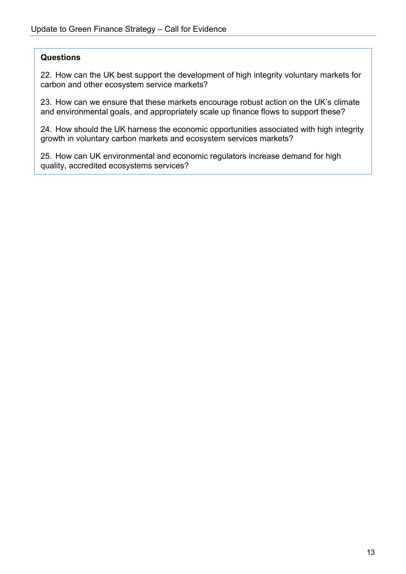#### **Questions**

22. How can the UK best support the development of high integrity voluntary markets for carbon and other ecosystem service markets?

23. How can we ensure that these markets encourage robust action on the UK's climate and environmental goals, and appropriately scale up finance flows to support these?

24. How should the UK harness the economic opportunities associated with high integrity growth in voluntary carbon markets and ecosystem services markets?

25. How can UK environmental and economic regulators increase demand for high quality, accredited ecosystems services?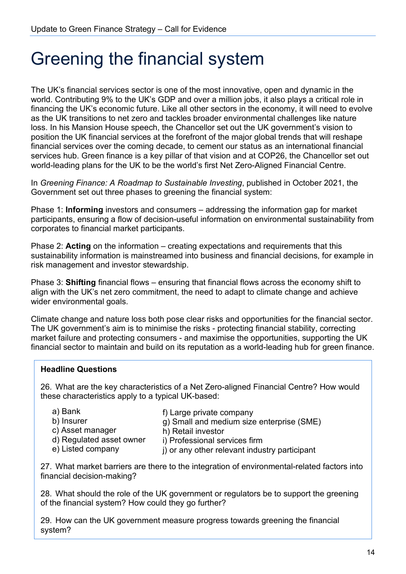## <span id="page-13-0"></span>Greening the financial system

The UK's financial services sector is one of the most innovative, open and dynamic in the world. Contributing 9% to the UK's GDP and over a million jobs, it also plays a critical role in financing the UK's economic future. Like all other sectors in the economy, it will need to evolve as the UK transitions to net zero and tackles broader environmental challenges like nature loss. In his Mansion House speech, the Chancellor set out the UK government's vision to position the UK financial services at the forefront of the major global trends that will reshape financial services over the coming decade, to cement our status as an international financial services hub. Green finance is a key pillar of that vision and at COP26, the Chancellor set out world-leading plans for the UK to be the world's first Net Zero-Aligned Financial Centre.

In *Greening Finance: A Roadmap to Sustainable Investing*, published in October 2021, the Government set out three phases to greening the financial system:

Phase 1: **Informing** investors and consumers – addressing the information gap for market participants, ensuring a flow of decision-useful information on environmental sustainability from corporates to financial market participants.

Phase 2: **Acting** on the information – creating expectations and requirements that this sustainability information is mainstreamed into business and financial decisions, for example in risk management and investor stewardship.

Phase 3: **Shifting** financial flows – ensuring that financial flows across the economy shift to align with the UK's net zero commitment, the need to adapt to climate change and achieve wider environmental goals.

Climate change and nature loss both pose clear risks and opportunities for the financial sector. The UK government's aim is to minimise the risks - protecting financial stability, correcting market failure and protecting consumers - and maximise the opportunities, supporting the UK financial sector to maintain and build on its reputation as a world-leading hub for green finance.

### **Headline Questions**

26. What are the key characteristics of a Net Zero-aligned Financial Centre? How would these characteristics apply to a typical UK-based:

h) Retail investor

- a) Bank
- b) Insurer
- f) Large private company
- g) Small and medium size enterprise (SME)
- c) Asset manager

e) Listed company

- d) Regulated asset owner
- i) Professional services firm
- j) or any other relevant industry participant

27. What market barriers are there to the integration of environmental-related factors into financial decision-making?

28. What should the role of the UK government or regulators be to support the greening of the financial system? How could they go further?

29. How can the UK government measure progress towards greening the financial system?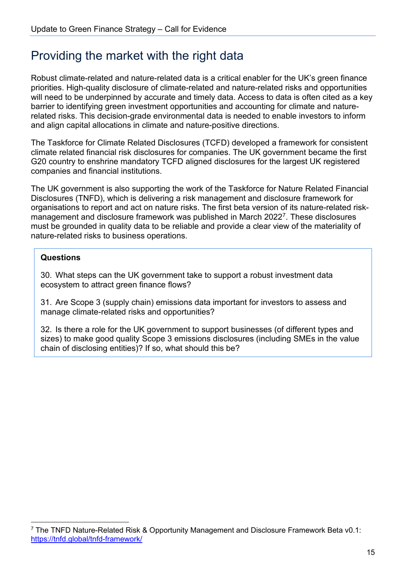## <span id="page-14-0"></span>Providing the market with the right data

Robust climate-related and nature-related data is a critical enabler for the UK's green finance priorities. High-quality disclosure of climate-related and nature-related risks and opportunities will need to be underpinned by accurate and timely data. Access to data is often cited as a key barrier to identifying green investment opportunities and accounting for climate and naturerelated risks. This decision-grade environmental data is needed to enable investors to inform and align capital allocations in climate and nature-positive directions.

The Taskforce for Climate Related Disclosures (TCFD) developed a framework for consistent climate related financial risk disclosures for companies. The UK government became the first G20 country to enshrine mandatory TCFD aligned disclosures for the largest UK registered companies and financial institutions.

The UK government is also supporting the work of the Taskforce for Nature Related Financial Disclosures (TNFD), which is delivering a risk management and disclosure framework for organisations to report and act on nature risks. The first beta version of its nature-related risk-management and disclosure framework was published in March 2022<sup>[7](#page-14-1)</sup>. These disclosures must be grounded in quality data to be reliable and provide a clear view of the materiality of nature-related risks to business operations.

### **Questions**

30. What steps can the UK government take to support a robust investment data ecosystem to attract green finance flows?

31. Are Scope 3 (supply chain) emissions data important for investors to assess and manage climate-related risks and opportunities?

32. Is there a role for the UK government to support businesses (of different types and sizes) to make good quality Scope 3 emissions disclosures (including SMEs in the value chain of disclosing entities)? If so, what should this be?

<span id="page-14-1"></span> $7$  The TNFD Nature-Related Risk & Opportunity Management and Disclosure Framework Beta v0.1: <https://tnfd.global/tnfd-framework/>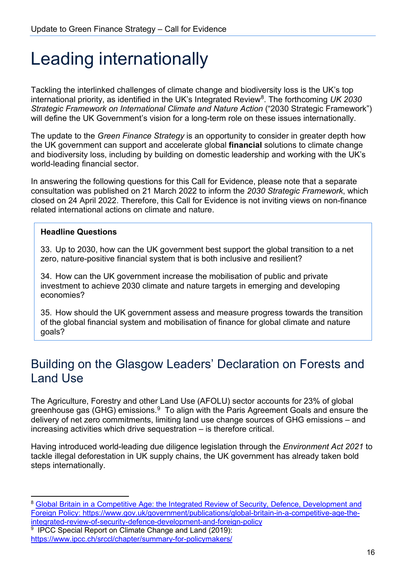## <span id="page-15-0"></span>Leading internationally

Tackling the interlinked challenges of climate change and biodiversity loss is the UK's top international priority, as identified in the UK's Integrated Review<sup>[8](#page-15-2)</sup>. The forthcoming UK 2030 *Strategic Framework on International Climate and Nature Action* ("2030 Strategic Framework") will define the UK Government's vision for a long-term role on these issues internationally.

The update to the *Green Finance Strategy* is an opportunity to consider in greater depth how the UK government can support and accelerate global **financial** solutions to climate change and biodiversity loss, including by building on domestic leadership and working with the UK's world-leading financial sector.

In answering the following questions for this Call for Evidence, please note that a separate consultation was published on 21 March 2022 to inform the *2030 Strategic Framework*, which closed on 24 April 2022. Therefore, this Call for Evidence is not inviting views on non-finance related international actions on climate and nature.

#### **Headline Questions**

33. Up to 2030, how can the UK government best support the global transition to a net zero, nature-positive financial system that is both inclusive and resilient?

34. How can the UK government increase the mobilisation of public and private investment to achieve 2030 climate and nature targets in emerging and developing economies?

35. How should the UK government assess and measure progress towards the transition of the global financial system and mobilisation of finance for global climate and nature goals?

### <span id="page-15-1"></span>Building on the Glasgow Leaders' Declaration on Forests and Land Use

The Agriculture, Forestry and other Land Use (AFOLU) sector accounts for 23% of global greenhouse gas (GHG) emissions. $9\text{ T}$  $9\text{ T}$ o align with the Paris Agreement Goals and ensure the delivery of net zero commitments, limiting land use change sources of GHG emissions – and increasing activities which drive sequestration – is therefore critical.

Having introduced world-leading due diligence legislation through the *Environment Act 2021* to tackle illegal deforestation in UK supply chains, the UK government has already taken bold steps internationally.

<span id="page-15-2"></span><sup>&</sup>lt;sup>8</sup> Global Britain in a Competitive Age: the Integrated Review of Security, Defence, Development and [Foreign Policy: https://www.gov.uk/government/publications/global-britain-in-a-competitive-age-the](https://www.gov.uk/government/publications/global-britain-in-a-competitive-age-the-integrated-review-of-security-defence-development-and-foreign-policy)[integrated-review-of-security-defence-development-and-foreign-policy](https://www.gov.uk/government/publications/global-britain-in-a-competitive-age-the-integrated-review-of-security-defence-development-and-foreign-policy) 9 IPCC Special Report on Climate Change and Land (2019):

<span id="page-15-3"></span><https://www.ipcc.ch/srccl/chapter/summary-for-policymakers/>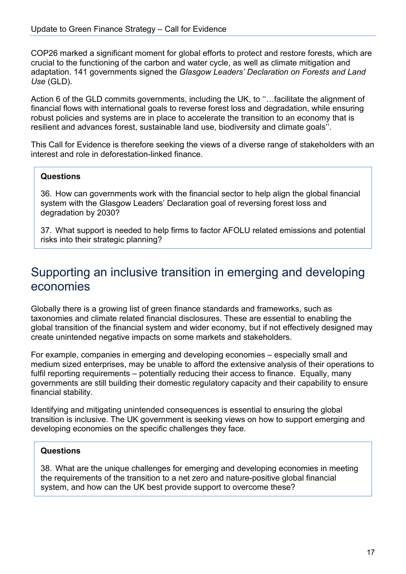COP26 marked a significant moment for global efforts to protect and restore forests, which are crucial to the functioning of the carbon and water cycle, as well as climate mitigation and adaptation. 141 governments signed the *Glasgow Leaders' Declaration on Forests and Land Use* (GLD).

Action 6 of the GLD commits governments, including the UK, to "...facilitate the alignment of financial flows with international goals to reverse forest loss and degradation, while ensuring robust policies and systems are in place to accelerate the transition to an economy that is resilient and advances forest, sustainable land use, biodiversity and climate goals''.

This Call for Evidence is therefore seeking the views of a diverse range of stakeholders with an interest and role in deforestation-linked finance.

### **Questions**

36. How can governments work with the financial sector to help align the global financial system with the Glasgow Leaders' Declaration goal of reversing forest loss and degradation by 2030?

37. What support is needed to help firms to factor AFOLU related emissions and potential risks into their strategic planning?

### <span id="page-16-0"></span>Supporting an inclusive transition in emerging and developing economies

Globally there is a growing list of green finance standards and frameworks, such as taxonomies and climate related financial disclosures. These are essential to enabling the global transition of the financial system and wider economy, but if not effectively designed may create unintended negative impacts on some markets and stakeholders.

For example, companies in emerging and developing economies – especially small and medium sized enterprises, may be unable to afford the extensive analysis of their operations to fulfil reporting requirements – potentially reducing their access to finance. Equally, many governments are still building their domestic regulatory capacity and their capability to ensure financial stability.

Identifying and mitigating unintended consequences is essential to ensuring the global transition is inclusive. The UK government is seeking views on how to support emerging and developing economies on the specific challenges they face.

### **Questions**

38. What are the unique challenges for emerging and developing economies in meeting the requirements of the transition to a net zero and nature-positive global financial system, and how can the UK best provide support to overcome these?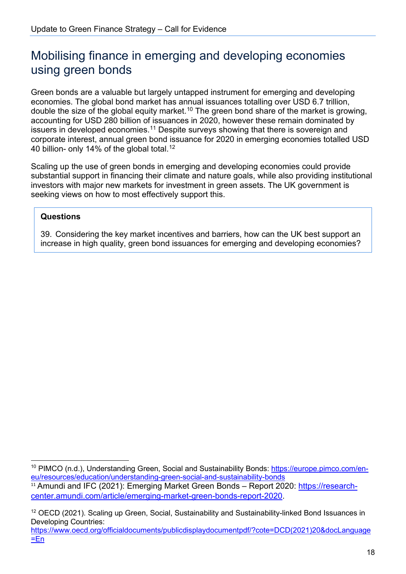## <span id="page-17-0"></span>Mobilising finance in emerging and developing economies using green bonds

Green bonds are a valuable but largely untapped instrument for emerging and developing economies. The global bond market has annual issuances totalling over USD 6.7 trillion, double the size of the global equity market. $^{\mathsf{10}}$  $^{\mathsf{10}}$  $^{\mathsf{10}}$  The green bond share of the market is growing, accounting for USD 280 billion of issuances in 2020, however these remain dominated by issuers in developed economies.<sup>[11](#page-17-2)</sup> Despite surveys showing that there is sovereign and corporate interest, annual green bond issuance for 2020 in emerging economies totalled USD 40 billion- only 14% of the global total.<sup>12</sup>

Scaling up the use of green bonds in emerging and developing economies could provide substantial support in financing their climate and nature goals, while also providing institutional investors with major new markets for investment in green assets. The UK government is seeking views on how to most effectively support this.

### **Questions**

39. Considering the key market incentives and barriers, how can the UK best support an increase in high quality, green bond issuances for emerging and developing economies?

[=En](https://www.oecd.org/officialdocuments/publicdisplaydocumentpdf/?cote=DCD(2021)20&docLanguage=En)

<span id="page-17-1"></span><sup>&</sup>lt;sup>10</sup> PIMCO (n.d.), Understanding Green, Social and Sustainability Bonds: [https://europe.pimco.com/en](https://europe.pimco.com/en-eu/resources/education/understanding-green-social-and-sustainability-bonds)[eu/resources/education/understanding-green-social-and-sustainability-bonds](https://europe.pimco.com/en-eu/resources/education/understanding-green-social-and-sustainability-bonds) 

<span id="page-17-2"></span><sup>&</sup>lt;sup>11</sup> Amundi and IFC (2021): Emerging Market Green Bonds – Report 2020: [https://research](https://research-center.amundi.com/article/emerging-market-green-bonds-report-2020)[center.amundi.com/article/emerging-market-green-bonds-report-2020.](https://research-center.amundi.com/article/emerging-market-green-bonds-report-2020)

<span id="page-17-3"></span><sup>&</sup>lt;sup>12</sup> OECD (2021). Scaling up Green, Social, Sustainability and Sustainability-linked Bond Issuances in Developing Countries: [https://www.oecd.org/officialdocuments/publicdisplaydocumentpdf/?cote=DCD\(2021\)20&docLanguage](https://www.oecd.org/officialdocuments/publicdisplaydocumentpdf/?cote=DCD(2021)20&docLanguage=En)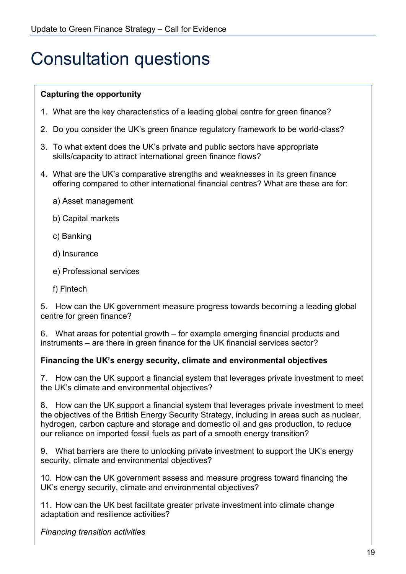## <span id="page-18-0"></span>Consultation questions

### **Capturing the opportunity**

- 1. What are the key characteristics of a leading global centre for green finance?
- 2. Do you consider the UK's green finance regulatory framework to be world-class?
- 3. To what extent does the UK's private and public sectors have appropriate skills/capacity to attract international green finance flows?
- 4. What are the UK's comparative strengths and weaknesses in its green finance offering compared to other international financial centres? What are these are for:
	- a) Asset management
	- b) Capital markets
	- c) Banking
	- d) Insurance
	- e) Professional services
	- f) Fintech

5. How can the UK government measure progress towards becoming a leading global centre for green finance?

6. What areas for potential growth – for example emerging financial products and instruments – are there in green finance for the UK financial services sector?

#### **Financing the UK's energy security, climate and environmental objectives**

7. How can the UK support a financial system that leverages private investment to meet the UK's climate and environmental objectives?

8. How can the UK support a financial system that leverages private investment to meet the objectives of the British Energy Security Strategy, including in areas such as nuclear, hydrogen, carbon capture and storage and domestic oil and gas production, to reduce our reliance on imported fossil fuels as part of a smooth energy transition?

9. What barriers are there to unlocking private investment to support the UK's energy security, climate and environmental objectives?

10. How can the UK government assess and measure progress toward financing the UK's energy security, climate and environmental objectives?

11. How can the UK best facilitate greater private investment into climate change adaptation and resilience activities?

*Financing transition activities*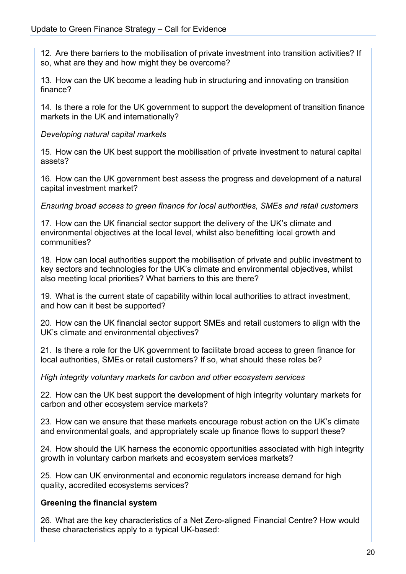12. Are there barriers to the mobilisation of private investment into transition activities? If so, what are they and how might they be overcome?

13. How can the UK become a leading hub in structuring and innovating on transition finance?

14. Is there a role for the UK government to support the development of transition finance markets in the UK and internationally?

#### *Developing natural capital markets*

15. How can the UK best support the mobilisation of private investment to natural capital assets?

16. How can the UK government best assess the progress and development of a natural capital investment market?

*Ensuring broad access to green finance for local authorities, SMEs and retail customers*

17. How can the UK financial sector support the delivery of the UK's climate and environmental objectives at the local level, whilst also benefitting local growth and communities?

18. How can local authorities support the mobilisation of private and public investment to key sectors and technologies for the UK's climate and environmental objectives, whilst also meeting local priorities? What barriers to this are there?

19. What is the current state of capability within local authorities to attract investment, and how can it best be supported?

20. How can the UK financial sector support SMEs and retail customers to align with the UK's climate and environmental objectives?

21. Is there a role for the UK government to facilitate broad access to green finance for local authorities, SMEs or retail customers? If so, what should these roles be?

*High integrity voluntary markets for carbon and other ecosystem services*

22. How can the UK best support the development of high integrity voluntary markets for carbon and other ecosystem service markets?

23. How can we ensure that these markets encourage robust action on the UK's climate and environmental goals, and appropriately scale up finance flows to support these?

24. How should the UK harness the economic opportunities associated with high integrity growth in voluntary carbon markets and ecosystem services markets?

25. How can UK environmental and economic regulators increase demand for high quality, accredited ecosystems services?

#### **Greening the financial system**

26. What are the key characteristics of a Net Zero-aligned Financial Centre? How would these characteristics apply to a typical UK-based: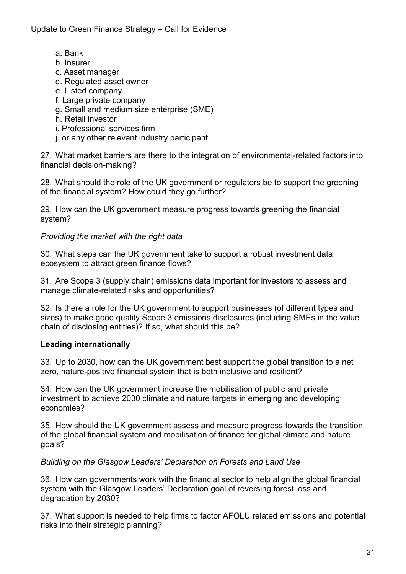- a. Bank
- b. Insurer
- c. Asset manager
- d. Regulated asset owner
- e. Listed company
- f. Large private company
- g. Small and medium size enterprise (SME)
- h. Retail investor
- i. Professional services firm
- j. or any other relevant industry participant

27. What market barriers are there to the integration of environmental-related factors into financial decision-making?

28. What should the role of the UK government or regulators be to support the greening of the financial system? How could they go further?

29. How can the UK government measure progress towards greening the financial system?

*Providing the market with the right data*

30. What steps can the UK government take to support a robust investment data ecosystem to attract green finance flows?

31. Are Scope 3 (supply chain) emissions data important for investors to assess and manage climate-related risks and opportunities?

32. Is there a role for the UK government to support businesses (of different types and sizes) to make good quality Scope 3 emissions disclosures (including SMEs in the value chain of disclosing entities)? If so, what should this be?

### **Leading internationally**

33. Up to 2030, how can the UK government best support the global transition to a net zero, nature-positive financial system that is both inclusive and resilient?

34. How can the UK government increase the mobilisation of public and private investment to achieve 2030 climate and nature targets in emerging and developing economies?

35. How should the UK government assess and measure progress towards the transition of the global financial system and mobilisation of finance for global climate and nature goals?

*Building on the Glasgow Leaders' Declaration on Forests and Land Use*

36. How can governments work with the financial sector to help align the global financial system with the Glasgow Leaders' Declaration goal of reversing forest loss and degradation by 2030?

37. What support is needed to help firms to factor AFOLU related emissions and potential risks into their strategic planning?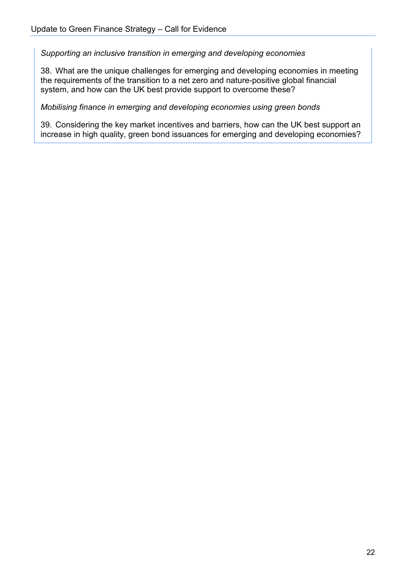*Supporting an inclusive transition in emerging and developing economies*

38. What are the unique challenges for emerging and developing economies in meeting the requirements of the transition to a net zero and nature-positive global financial system, and how can the UK best provide support to overcome these?

*Mobilising finance in emerging and developing economies using green bonds*

39. Considering the key market incentives and barriers, how can the UK best support an increase in high quality, green bond issuances for emerging and developing economies?